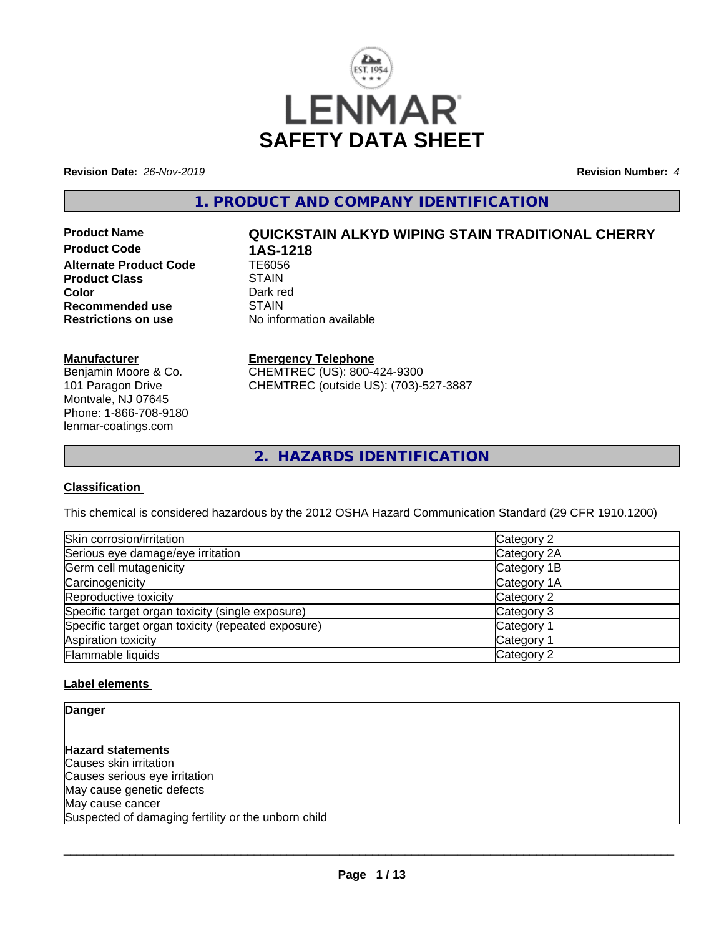

**Revision Date:** *26-Nov-2019* **Revision Number:** *4*

**1. PRODUCT AND COMPANY IDENTIFICATION**

**Product Code 1AS-1218**<br>Alternate Product Code 1E6056 **Alternate Product Code Product Class** STAIN<br> **Color** Dark red **Color** Dark red **Dark red Recommended use** STAIN<br> **Restrictions on use** No info

# **Product Name QUICKSTAIN ALKYD WIPING STAIN TRADITIONAL CHERRY**

**No information available** 

# **Manufacturer**

Benjamin Moore & Co. 101 Paragon Drive Montvale, NJ 07645 Phone: 1-866-708-9180 lenmar-coatings.com

# **Emergency Telephone**

CHEMTREC (US): 800-424-9300 CHEMTREC (outside US): (703)-527-3887

**2. HAZARDS IDENTIFICATION**

# **Classification**

This chemical is considered hazardous by the 2012 OSHA Hazard Communication Standard (29 CFR 1910.1200)

| Skin corrosion/irritation                          | Category 2            |
|----------------------------------------------------|-----------------------|
| Serious eye damage/eye irritation                  | Category 2A           |
| Germ cell mutagenicity                             | Category 1B           |
| Carcinogenicity                                    | Category 1A           |
| Reproductive toxicity                              | Category 2            |
| Specific target organ toxicity (single exposure)   | Category 3            |
| Specific target organ toxicity (repeated exposure) | Category 1            |
| Aspiration toxicity                                | Category <sup>2</sup> |
| Flammable liquids                                  | Category 2            |

# **Label elements**

**Danger**

**Hazard statements** Causes skin irritation Causes serious eye irritation May cause genetic defects May cause cancer Suspected of damaging fertility or the unborn child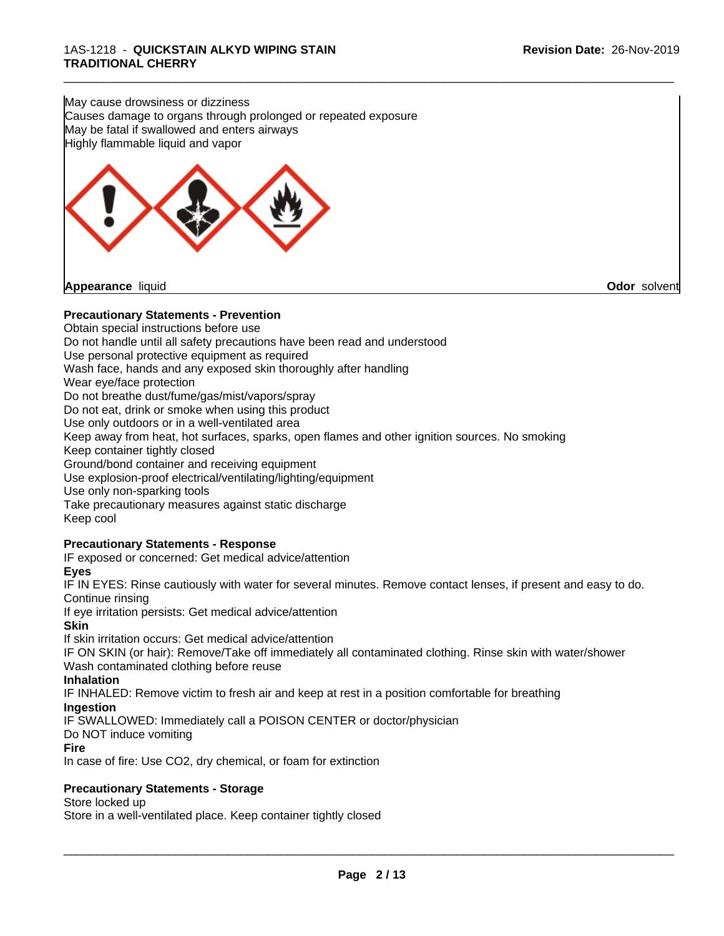May cause drowsiness or dizziness Causes damage to organs through prolonged or repeated exposure May be fatal if swallowed and enters airways Highly flammable liquid and vapor



# **Precautionary Statements - Prevention**

Obtain special instructions before use Do not handle until all safety precautions have been read and understood Use personal protective equipment as required Wash face, hands and any exposed skin thoroughly after handling Wear eye/face protection Do not breathe dust/fume/gas/mist/vapors/spray Do not eat, drink or smoke when using this product Use only outdoors or in a well-ventilated area Keep away from heat, hot surfaces, sparks, open flames and other ignition sources. No smoking Keep container tightly closed Ground/bond container and receiving equipment Use explosion-proof electrical/ventilating/lighting/equipment Use only non-sparking tools Take precautionary measures against static discharge Keep cool **Precautionary Statements - Response**

\_\_\_\_\_\_\_\_\_\_\_\_\_\_\_\_\_\_\_\_\_\_\_\_\_\_\_\_\_\_\_\_\_\_\_\_\_\_\_\_\_\_\_\_\_\_\_\_\_\_\_\_\_\_\_\_\_\_\_\_\_\_\_\_\_\_\_\_\_\_\_\_\_\_\_\_\_\_\_\_\_\_\_\_\_\_\_\_\_\_\_\_\_

# IF exposed or concerned: Get medical advice/attention

**Eyes**

IF IN EYES: Rinse cautiously with water for several minutes. Remove contact lenses, if present and easy to do. Continue rinsing

If eye irritation persists: Get medical advice/attention

#### **Skin**

If skin irritation occurs: Get medical advice/attention

IF ON SKIN (or hair): Remove/Take off immediately all contaminated clothing. Rinse skin with water/shower Wash contaminated clothing before reuse

#### **Inhalation**

IF INHALED: Remove victim to fresh air and keep atrest in a position comfortable for breathing

#### **Ingestion**

IF SWALLOWED: Immediately call a POISON CENTER or doctor/physician

#### Do NOT induce vomiting

**Fire**

In case of fire: Use CO2, dry chemical, or foam for extinction

# **Precautionary Statements - Storage**

Store locked up

Store in a well-ventilated place. Keep container tightly closed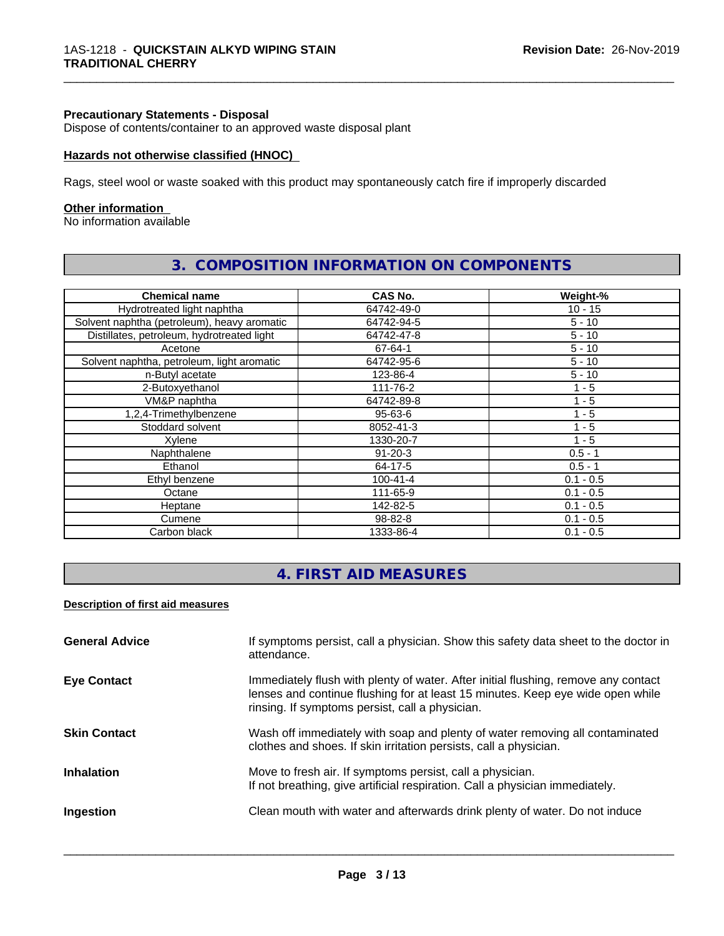#### **Precautionary Statements - Disposal**

Dispose of contents/container to an approved waste disposal plant

#### **Hazards not otherwise classified (HNOC)**

Rags, steel wool or waste soaked with this product may spontaneously catch fire if improperly discarded

#### **Other information**

No information available

| <b>Chemical name</b>                        | CAS No.        | Weight-%    |
|---------------------------------------------|----------------|-------------|
| Hydrotreated light naphtha                  | 64742-49-0     | $10 - 15$   |
| Solvent naphtha (petroleum), heavy aromatic | 64742-94-5     | $5 - 10$    |
| Distillates, petroleum, hydrotreated light  | 64742-47-8     | $5 - 10$    |
| Acetone                                     | 67-64-1        | $5 - 10$    |
| Solvent naphtha, petroleum, light aromatic  | 64742-95-6     | $5 - 10$    |
| n-Butyl acetate                             | 123-86-4       | $5 - 10$    |
| 2-Butoxyethanol                             | 111-76-2       | $1 - 5$     |
| VM&P naphtha                                | 64742-89-8     | 1 - 5       |
| 1,2,4-Trimethylbenzene                      | $95 - 63 - 6$  | $1 - 5$     |
| Stoddard solvent                            | 8052-41-3      | 1 - 5       |
| Xylene                                      | 1330-20-7      | $1 - 5$     |
| Naphthalene                                 | $91 - 20 - 3$  | $0.5 - 1$   |
| Ethanol                                     | 64-17-5        | $0.5 - 1$   |
| Ethyl benzene                               | $100 - 41 - 4$ | $0.1 - 0.5$ |
| Octane                                      | 111-65-9       | $0.1 - 0.5$ |
| Heptane                                     | 142-82-5       | $0.1 - 0.5$ |
| Cumene                                      | 98-82-8        | $0.1 - 0.5$ |
| Carbon black                                | 1333-86-4      | $0.1 - 0.5$ |

# **3. COMPOSITION INFORMATION ON COMPONENTS**

\_\_\_\_\_\_\_\_\_\_\_\_\_\_\_\_\_\_\_\_\_\_\_\_\_\_\_\_\_\_\_\_\_\_\_\_\_\_\_\_\_\_\_\_\_\_\_\_\_\_\_\_\_\_\_\_\_\_\_\_\_\_\_\_\_\_\_\_\_\_\_\_\_\_\_\_\_\_\_\_\_\_\_\_\_\_\_\_\_\_\_\_\_

# **4. FIRST AID MEASURES**

# **Description of first aid measures**

| <b>General Advice</b> | If symptoms persist, call a physician. Show this safety data sheet to the doctor in<br>attendance.                                                                                                                      |
|-----------------------|-------------------------------------------------------------------------------------------------------------------------------------------------------------------------------------------------------------------------|
| <b>Eye Contact</b>    | Immediately flush with plenty of water. After initial flushing, remove any contact<br>lenses and continue flushing for at least 15 minutes. Keep eye wide open while<br>rinsing. If symptoms persist, call a physician. |
| <b>Skin Contact</b>   | Wash off immediately with soap and plenty of water removing all contaminated<br>clothes and shoes. If skin irritation persists, call a physician.                                                                       |
| <b>Inhalation</b>     | Move to fresh air. If symptoms persist, call a physician.<br>If not breathing, give artificial respiration. Call a physician immediately.                                                                               |
| Ingestion             | Clean mouth with water and afterwards drink plenty of water. Do not induce                                                                                                                                              |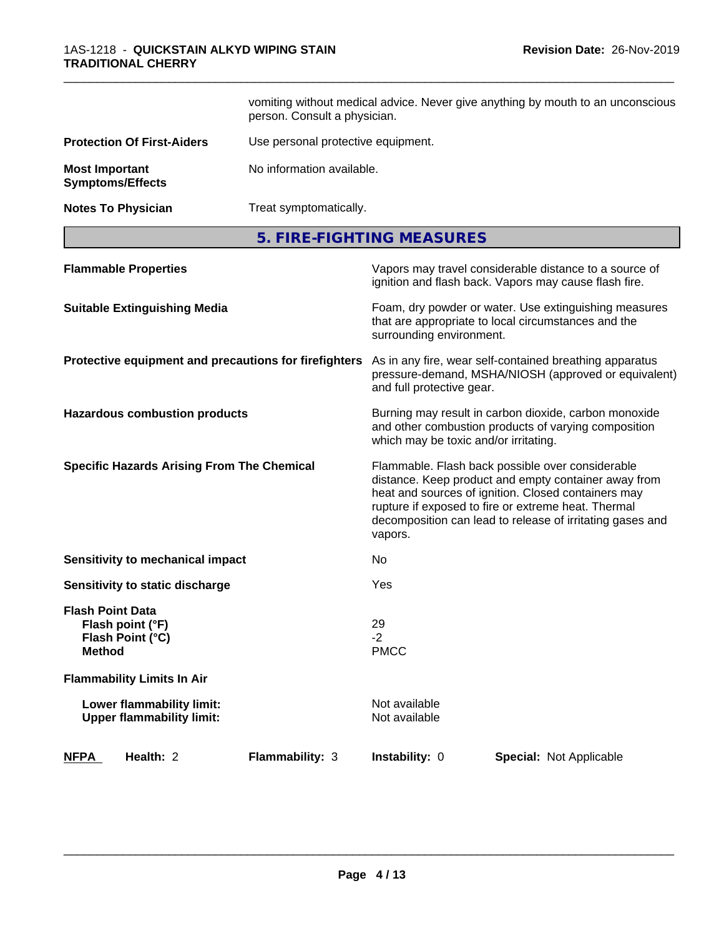|                                                  |                                                               | person. Consult a physician.                          |                                       | vomiting without medical advice. Never give anything by mouth to an unconscious                                                                                                                                                                                                     |  |
|--------------------------------------------------|---------------------------------------------------------------|-------------------------------------------------------|---------------------------------------|-------------------------------------------------------------------------------------------------------------------------------------------------------------------------------------------------------------------------------------------------------------------------------------|--|
|                                                  | <b>Protection Of First-Aiders</b>                             | Use personal protective equipment.                    |                                       |                                                                                                                                                                                                                                                                                     |  |
| <b>Most Important</b><br><b>Symptoms/Effects</b> |                                                               | No information available.                             |                                       |                                                                                                                                                                                                                                                                                     |  |
| <b>Notes To Physician</b>                        |                                                               | Treat symptomatically.                                |                                       |                                                                                                                                                                                                                                                                                     |  |
|                                                  |                                                               |                                                       | 5. FIRE-FIGHTING MEASURES             |                                                                                                                                                                                                                                                                                     |  |
|                                                  | <b>Flammable Properties</b>                                   |                                                       |                                       | Vapors may travel considerable distance to a source of<br>ignition and flash back. Vapors may cause flash fire.                                                                                                                                                                     |  |
|                                                  | <b>Suitable Extinguishing Media</b>                           |                                                       | surrounding environment.              | Foam, dry powder or water. Use extinguishing measures<br>that are appropriate to local circumstances and the                                                                                                                                                                        |  |
|                                                  |                                                               | Protective equipment and precautions for firefighters | and full protective gear.             | As in any fire, wear self-contained breathing apparatus<br>pressure-demand, MSHA/NIOSH (approved or equivalent)                                                                                                                                                                     |  |
|                                                  | <b>Hazardous combustion products</b>                          |                                                       | which may be toxic and/or irritating. | Burning may result in carbon dioxide, carbon monoxide<br>and other combustion products of varying composition                                                                                                                                                                       |  |
|                                                  | <b>Specific Hazards Arising From The Chemical</b>             |                                                       | vapors.                               | Flammable. Flash back possible over considerable<br>distance. Keep product and empty container away from<br>heat and sources of ignition. Closed containers may<br>rupture if exposed to fire or extreme heat. Thermal<br>decomposition can lead to release of irritating gases and |  |
|                                                  | <b>Sensitivity to mechanical impact</b>                       |                                                       | No                                    |                                                                                                                                                                                                                                                                                     |  |
|                                                  | Sensitivity to static discharge                               |                                                       | Yes                                   |                                                                                                                                                                                                                                                                                     |  |
| <b>Flash Point Data</b><br><b>Method</b>         | Flash point (°F)<br>Flash Point (°C)                          |                                                       | 29<br>$-2$<br><b>PMCC</b>             |                                                                                                                                                                                                                                                                                     |  |
|                                                  | <b>Flammability Limits In Air</b>                             |                                                       |                                       |                                                                                                                                                                                                                                                                                     |  |
|                                                  | Lower flammability limit:<br><b>Upper flammability limit:</b> |                                                       | Not available<br>Not available        |                                                                                                                                                                                                                                                                                     |  |
| <b>NFPA</b>                                      | Health: 2                                                     | Flammability: 3                                       | Instability: 0                        | Special: Not Applicable                                                                                                                                                                                                                                                             |  |

\_\_\_\_\_\_\_\_\_\_\_\_\_\_\_\_\_\_\_\_\_\_\_\_\_\_\_\_\_\_\_\_\_\_\_\_\_\_\_\_\_\_\_\_\_\_\_\_\_\_\_\_\_\_\_\_\_\_\_\_\_\_\_\_\_\_\_\_\_\_\_\_\_\_\_\_\_\_\_\_\_\_\_\_\_\_\_\_\_\_\_\_\_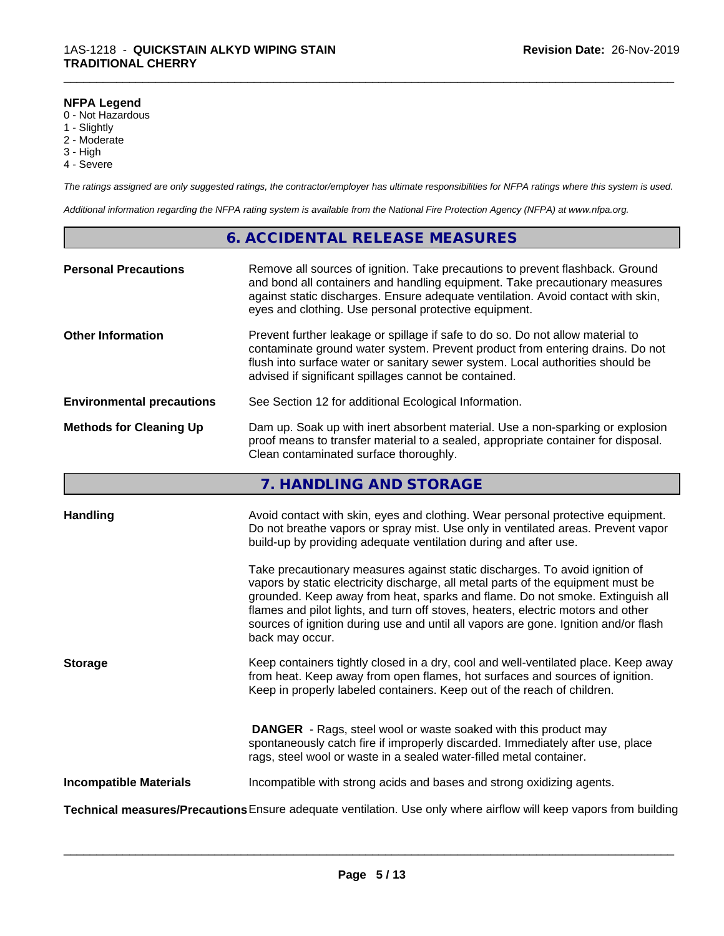## **NFPA Legend**

- 0 Not Hazardous
- 1 Slightly
- 2 Moderate
- 3 High
- 4 Severe

*The ratings assigned are only suggested ratings, the contractor/employer has ultimate responsibilities for NFPA ratings where this system is used.*

\_\_\_\_\_\_\_\_\_\_\_\_\_\_\_\_\_\_\_\_\_\_\_\_\_\_\_\_\_\_\_\_\_\_\_\_\_\_\_\_\_\_\_\_\_\_\_\_\_\_\_\_\_\_\_\_\_\_\_\_\_\_\_\_\_\_\_\_\_\_\_\_\_\_\_\_\_\_\_\_\_\_\_\_\_\_\_\_\_\_\_\_\_

*Additional information regarding the NFPA rating system is available from the National Fire Protection Agency (NFPA) at www.nfpa.org.*

# **6. ACCIDENTAL RELEASE MEASURES**

| <b>Personal Precautions</b>      | Remove all sources of ignition. Take precautions to prevent flashback. Ground<br>and bond all containers and handling equipment. Take precautionary measures<br>against static discharges. Ensure adequate ventilation. Avoid contact with skin,<br>eyes and clothing. Use personal protective equipment.  |
|----------------------------------|------------------------------------------------------------------------------------------------------------------------------------------------------------------------------------------------------------------------------------------------------------------------------------------------------------|
| <b>Other Information</b>         | Prevent further leakage or spillage if safe to do so. Do not allow material to<br>contaminate ground water system. Prevent product from entering drains. Do not<br>flush into surface water or sanitary sewer system. Local authorities should be<br>advised if significant spillages cannot be contained. |
| <b>Environmental precautions</b> | See Section 12 for additional Ecological Information.                                                                                                                                                                                                                                                      |
| <b>Methods for Cleaning Up</b>   | Dam up. Soak up with inert absorbent material. Use a non-sparking or explosion<br>proof means to transfer material to a sealed, appropriate container for disposal.<br>Clean contaminated surface thoroughly.                                                                                              |

# **7. HANDLING AND STORAGE**

| <b>Handling</b>               | Avoid contact with skin, eyes and clothing. Wear personal protective equipment.<br>Do not breathe vapors or spray mist. Use only in ventilated areas. Prevent vapor                                                                                                                                                                                                                                                                            |
|-------------------------------|------------------------------------------------------------------------------------------------------------------------------------------------------------------------------------------------------------------------------------------------------------------------------------------------------------------------------------------------------------------------------------------------------------------------------------------------|
|                               | build-up by providing adequate ventilation during and after use.                                                                                                                                                                                                                                                                                                                                                                               |
|                               | Take precautionary measures against static discharges. To avoid ignition of<br>vapors by static electricity discharge, all metal parts of the equipment must be<br>grounded. Keep away from heat, sparks and flame. Do not smoke. Extinguish all<br>flames and pilot lights, and turn off stoves, heaters, electric motors and other<br>sources of ignition during use and until all vapors are gone. Ignition and/or flash<br>back may occur. |
| <b>Storage</b>                | Keep containers tightly closed in a dry, cool and well-ventilated place. Keep away<br>from heat. Keep away from open flames, hot surfaces and sources of ignition.<br>Keep in properly labeled containers. Keep out of the reach of children.                                                                                                                                                                                                  |
|                               | <b>DANGER</b> - Rags, steel wool or waste soaked with this product may<br>spontaneously catch fire if improperly discarded. Immediately after use, place<br>rags, steel wool or waste in a sealed water-filled metal container.                                                                                                                                                                                                                |
| <b>Incompatible Materials</b> | Incompatible with strong acids and bases and strong oxidizing agents.                                                                                                                                                                                                                                                                                                                                                                          |
|                               | Technical measures/Precautions Ensure adequate ventilation. Use only where airflow will keep vapors from building                                                                                                                                                                                                                                                                                                                              |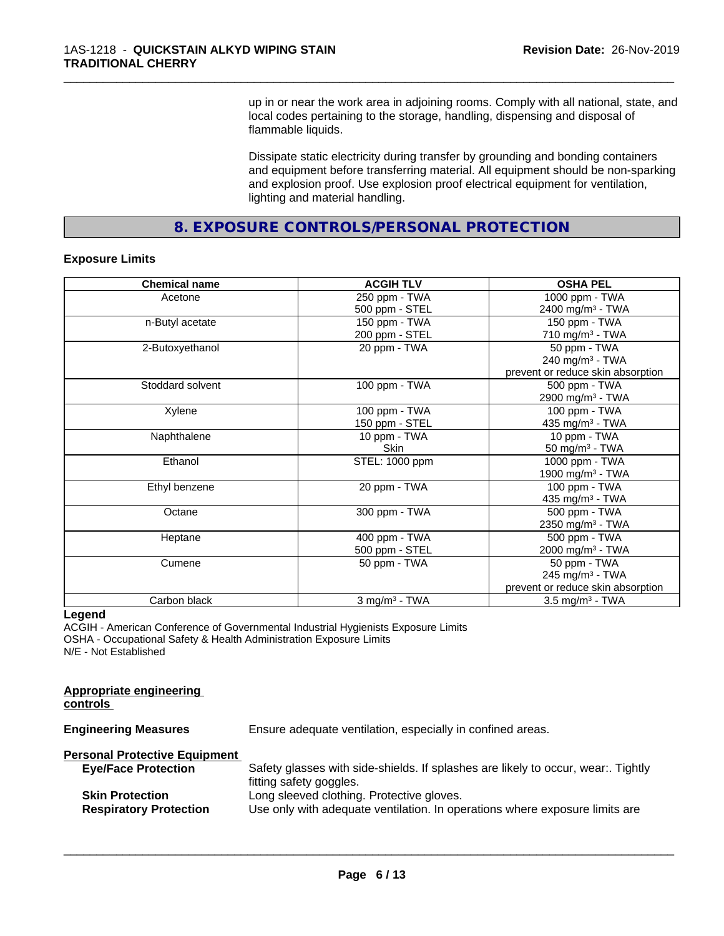up in or near the work area in adjoining rooms. Comply with all national, state, and local codes pertaining to the storage, handling, dispensing and disposal of flammable liquids.

\_\_\_\_\_\_\_\_\_\_\_\_\_\_\_\_\_\_\_\_\_\_\_\_\_\_\_\_\_\_\_\_\_\_\_\_\_\_\_\_\_\_\_\_\_\_\_\_\_\_\_\_\_\_\_\_\_\_\_\_\_\_\_\_\_\_\_\_\_\_\_\_\_\_\_\_\_\_\_\_\_\_\_\_\_\_\_\_\_\_\_\_\_

Dissipate static electricity during transfer by grounding and bonding containers and equipment before transferring material. All equipment should be non-sparking and explosion proof. Use explosion proof electrical equipment for ventilation, lighting and material handling.

**8. EXPOSURE CONTROLS/PERSONAL PROTECTION**

#### **Exposure Limits**

| <b>Chemical name</b> | <b>ACGIH TLV</b>            | <b>OSHA PEL</b>                   |
|----------------------|-----------------------------|-----------------------------------|
| Acetone              | 250 ppm - TWA               | 1000 ppm - TWA                    |
|                      | 500 ppm - STEL              | 2400 mg/m <sup>3</sup> - TWA      |
| n-Butyl acetate      | 150 ppm - TWA               | 150 ppm - TWA                     |
|                      | 200 ppm - STEL              | 710 mg/m $3$ - TWA                |
| 2-Butoxyethanol      | 20 ppm - TWA                | 50 ppm - TWA                      |
|                      |                             | 240 mg/m $3$ - TWA                |
|                      |                             | prevent or reduce skin absorption |
| Stoddard solvent     | 100 ppm - TWA               | 500 ppm - TWA                     |
|                      |                             | 2900 mg/m <sup>3</sup> - TWA      |
| Xylene               | 100 ppm - TWA               | 100 ppm - TWA                     |
|                      | 150 ppm - STEL              | 435 mg/m $3$ - TWA                |
| Naphthalene          | 10 ppm - TWA                | 10 ppm - TWA                      |
|                      | <b>Skin</b>                 | 50 mg/m <sup>3</sup> - TWA        |
| Ethanol              | STEL: 1000 ppm              | 1000 ppm - TWA                    |
|                      |                             | 1900 mg/m <sup>3</sup> - TWA      |
| Ethyl benzene        | 20 ppm - TWA                | $\overline{100}$ ppm - TWA        |
|                      |                             | 435 mg/m <sup>3</sup> - TWA       |
| Octane               | 300 ppm - TWA               | 500 ppm - TWA                     |
|                      |                             | 2350 mg/m <sup>3</sup> - TWA      |
| Heptane              | 400 ppm - TWA               | 500 ppm - TWA                     |
|                      | 500 ppm - STEL              | 2000 mg/m <sup>3</sup> - TWA      |
| Cumene               | 50 ppm - TWA                | 50 ppm - TWA                      |
|                      |                             | 245 mg/m <sup>3</sup> - TWA       |
|                      |                             | prevent or reduce skin absorption |
| Carbon black         | $3$ mg/m <sup>3</sup> - TWA | $3.5 \text{ mg/m}^3$ - TWA        |

#### **Legend**

**Appropriate engineering**

ACGIH - American Conference of Governmental Industrial Hygienists Exposure Limits OSHA - Occupational Safety & Health Administration Exposure Limits N/E - Not Established

| controls                                                |                                                                                                                          |
|---------------------------------------------------------|--------------------------------------------------------------------------------------------------------------------------|
| <b>Engineering Measures</b>                             | Ensure adequate ventilation, especially in confined areas.                                                               |
| <b>Personal Protective Equipment</b>                    |                                                                                                                          |
| <b>Eye/Face Protection</b>                              | Safety glasses with side-shields. If splashes are likely to occur, wear:. Tightly<br>fitting safety goggles.             |
| <b>Skin Protection</b><br><b>Respiratory Protection</b> | Long sleeved clothing. Protective gloves.<br>Use only with adequate ventilation. In operations where exposure limits are |
|                                                         |                                                                                                                          |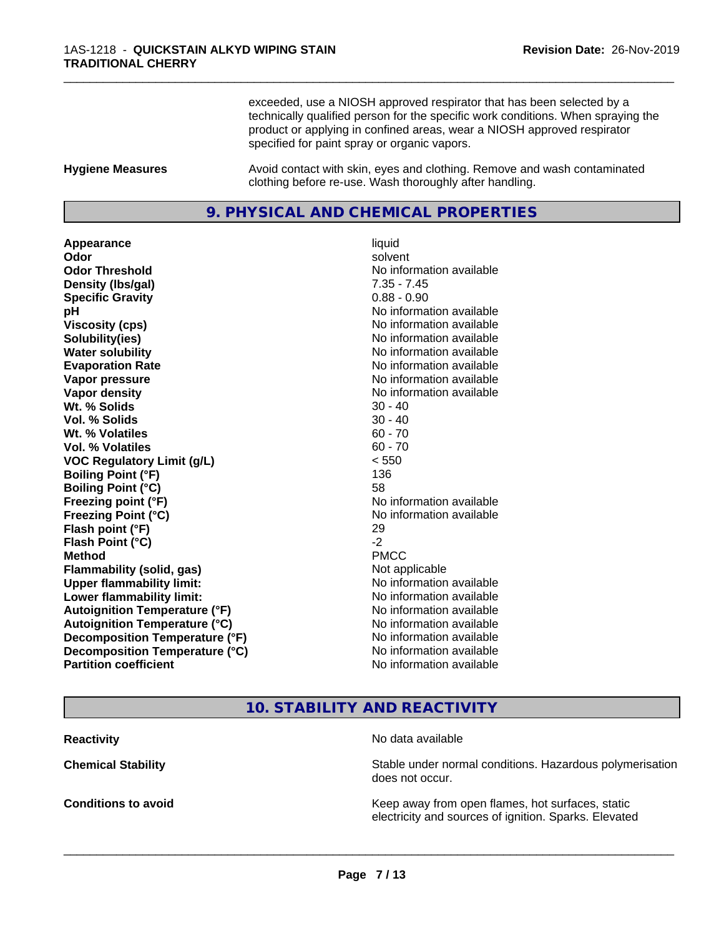exceeded, use a NIOSH approved respirator that has been selected by a technically qualified person for the specific work conditions. When spraying the product or applying in confined areas, wear a NIOSH approved respirator specified for paint spray or organic vapors.

\_\_\_\_\_\_\_\_\_\_\_\_\_\_\_\_\_\_\_\_\_\_\_\_\_\_\_\_\_\_\_\_\_\_\_\_\_\_\_\_\_\_\_\_\_\_\_\_\_\_\_\_\_\_\_\_\_\_\_\_\_\_\_\_\_\_\_\_\_\_\_\_\_\_\_\_\_\_\_\_\_\_\_\_\_\_\_\_\_\_\_\_\_

**Hygiene Measures** Avoid contact with skin, eyes and clothing. Remove and wash contaminated clothing before re-use. Wash thoroughly after handling.

# **9. PHYSICAL AND CHEMICAL PROPERTIES**

**Appearance** liquid **Odor** solvent **Odor Threshold** No information available **Density (lbs/gal)** 7.35 - 7.45 **Specific Gravity** 0.88 - 0.90 **pH pH**  $\blacksquare$ **Viscosity (cps)** No information available **Solubility(ies)** No information available **Water solubility** No information available **Evaporation Rate No information available No information available Vapor pressure** No information available **Vapor density No information available No information available Wt.** % Solids 30 - 40 **Vol. % Solids** 30 - 40 **Wt. % Volatiles** 60 - 70 **Vol. % Volatiles** 60 - 70 **VOC Regulatory Limit (g/L)** < 550 **Boiling Point (°F)** 136 **Boiling Point (°C)** 58 **Freezing point (°F)** No information available **Freezing Point (°C)** The state of the Monometer of Noinformation available **Flash point (°F)** 29 **Flash Point (°C) Method** PMCC **Flammability (solid, gas)** Not applicable **Upper flammability limit:** No information available **Lower flammability limit:**  $\qquad \qquad \qquad$  No information available **Autoignition Temperature (°F)** No information available **Autoignition Temperature (°C)** No information available **Decomposition Temperature (°F)** No information available<br> **Decomposition Temperature (°C)** No information available **Decomposition Temperature (°C) Partition coefficient** No information available

# **10. STABILITY AND REACTIVITY**

**Reactivity** No data available

 $\overline{\phantom{a}}$  ,  $\overline{\phantom{a}}$  ,  $\overline{\phantom{a}}$  ,  $\overline{\phantom{a}}$  ,  $\overline{\phantom{a}}$  ,  $\overline{\phantom{a}}$  ,  $\overline{\phantom{a}}$  ,  $\overline{\phantom{a}}$  ,  $\overline{\phantom{a}}$  ,  $\overline{\phantom{a}}$  ,  $\overline{\phantom{a}}$  ,  $\overline{\phantom{a}}$  ,  $\overline{\phantom{a}}$  ,  $\overline{\phantom{a}}$  ,  $\overline{\phantom{a}}$  ,  $\overline{\phantom{a}}$ 

**Chemical Stability Stability** Stable under normal conditions. Hazardous polymerisation does not occur.

**Conditions to avoid Keep away from open flames, hot surfaces, static conditions to avoid** electricity and sources of ignition. Sparks. Elevated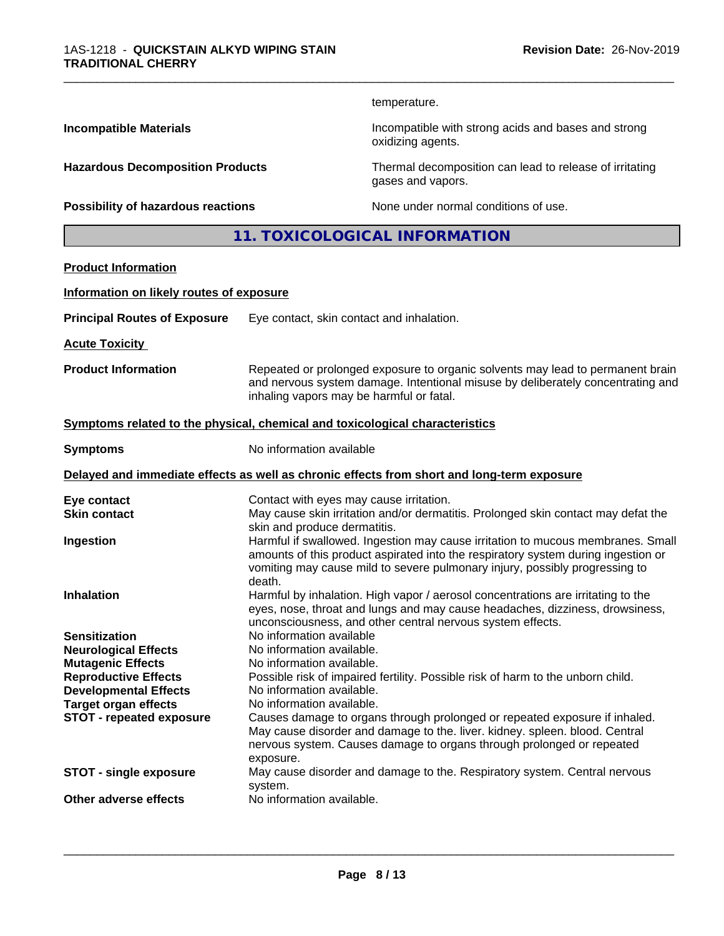temperature.

oxidizing agents.

\_\_\_\_\_\_\_\_\_\_\_\_\_\_\_\_\_\_\_\_\_\_\_\_\_\_\_\_\_\_\_\_\_\_\_\_\_\_\_\_\_\_\_\_\_\_\_\_\_\_\_\_\_\_\_\_\_\_\_\_\_\_\_\_\_\_\_\_\_\_\_\_\_\_\_\_\_\_\_\_\_\_\_\_\_\_\_\_\_\_\_\_\_

**Incompatible Materials Incompatible with strong acids and bases and strong** 

**Hazardous Decomposition Products** Thermal decomposition can lead to release of irritating

**Possibility of hazardous reactions** None under normal conditions of use.

gases and vapors.

**11. TOXICOLOGICAL INFORMATION**

# **Product Information**

#### **Information on likely routes of exposure**

| <b>Principal Routes of Exposure</b> | Eye contact, skin contact and inhalation. |
|-------------------------------------|-------------------------------------------|
|-------------------------------------|-------------------------------------------|

**Acute Toxicity** 

**Product Information** Repeated or prolonged exposure to organic solvents may lead to permanent brain and nervous system damage. Intentional misuse by deliberately concentrating and inhaling vapors may be harmful or fatal.

#### **<u>Symptoms related to the physical, chemical and toxicological characteristics</u>**

**Symptoms** No information available

#### **Delayed and immediate effects as well as chronic effects from short and long-term exposure**

| Eye contact                     | Contact with eyes may cause irritation.                                                                           |
|---------------------------------|-------------------------------------------------------------------------------------------------------------------|
| <b>Skin contact</b>             | May cause skin irritation and/or dermatitis. Prolonged skin contact may defat the<br>skin and produce dermatitis. |
|                                 |                                                                                                                   |
| Ingestion                       | Harmful if swallowed. Ingestion may cause irritation to mucous membranes. Small                                   |
|                                 | amounts of this product aspirated into the respiratory system during ingestion or                                 |
|                                 | vomiting may cause mild to severe pulmonary injury, possibly progressing to                                       |
|                                 | death.                                                                                                            |
| <b>Inhalation</b>               | Harmful by inhalation. High vapor / aerosol concentrations are irritating to the                                  |
|                                 | eyes, nose, throat and lungs and may cause headaches, dizziness, drowsiness,                                      |
|                                 | unconsciousness, and other central nervous system effects.                                                        |
| <b>Sensitization</b>            | No information available                                                                                          |
| <b>Neurological Effects</b>     | No information available.                                                                                         |
| <b>Mutagenic Effects</b>        | No information available.                                                                                         |
|                                 | Possible risk of impaired fertility. Possible risk of harm to the unborn child.                                   |
| <b>Reproductive Effects</b>     |                                                                                                                   |
| <b>Developmental Effects</b>    | No information available.                                                                                         |
| <b>Target organ effects</b>     | No information available.                                                                                         |
| <b>STOT - repeated exposure</b> | Causes damage to organs through prolonged or repeated exposure if inhaled.                                        |
|                                 | May cause disorder and damage to the. liver. kidney. spleen. blood. Central                                       |
|                                 | nervous system. Causes damage to organs through prolonged or repeated                                             |
|                                 | exposure.                                                                                                         |
| <b>STOT - single exposure</b>   | May cause disorder and damage to the. Respiratory system. Central nervous                                         |
|                                 | system.                                                                                                           |
| Other adverse effects           | No information available.                                                                                         |
|                                 |                                                                                                                   |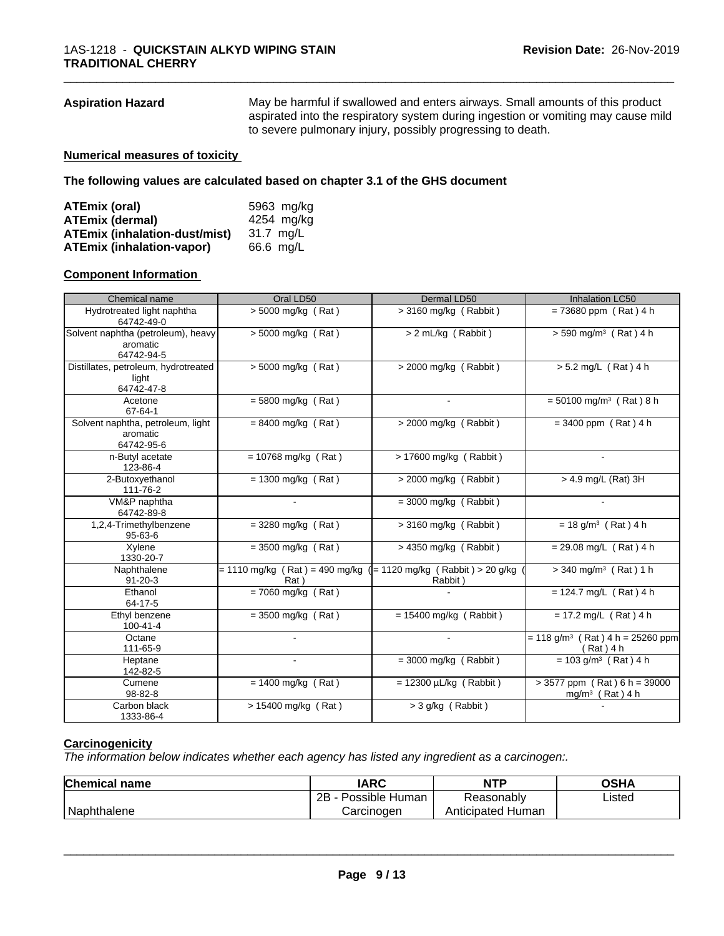**Aspiration Hazard** May be harmful if swallowed and enters airways. Small amounts of this product aspirated into the respiratory system during ingestion or vomiting may cause mild to severe pulmonary injury, possibly progressing to death.

\_\_\_\_\_\_\_\_\_\_\_\_\_\_\_\_\_\_\_\_\_\_\_\_\_\_\_\_\_\_\_\_\_\_\_\_\_\_\_\_\_\_\_\_\_\_\_\_\_\_\_\_\_\_\_\_\_\_\_\_\_\_\_\_\_\_\_\_\_\_\_\_\_\_\_\_\_\_\_\_\_\_\_\_\_\_\_\_\_\_\_\_\_

#### **Numerical measures of toxicity**

**The following values are calculated based on chapter 3.1 of the GHS document**

| ATEmix (oral)                        | 5963 mg/kg |
|--------------------------------------|------------|
| <b>ATEmix (dermal)</b>               | 4254 mg/kg |
| <b>ATEmix (inhalation-dust/mist)</b> | 31.7 ma/L  |
| <b>ATEmix (inhalation-vapor)</b>     | 66.6 mg/L  |

#### **Component Information**

| Chemical name                                                | Oral LD50                                                                    | Dermal LD50                 | <b>Inhalation LC50</b>                                        |
|--------------------------------------------------------------|------------------------------------------------------------------------------|-----------------------------|---------------------------------------------------------------|
| Hydrotreated light naphtha<br>64742-49-0                     | $> 5000$ mg/kg (Rat)                                                         | $>$ 3160 mg/kg (Rabbit)     | $= 73680$ ppm (Rat) 4 h                                       |
| Solvent naphtha (petroleum), heavy<br>aromatic<br>64742-94-5 | $> 5000$ mg/kg (Rat)                                                         | > 2 mL/kg (Rabbit)          | $> 590$ mg/m <sup>3</sup> (Rat) 4 h                           |
| Distillates, petroleum, hydrotreated<br>light<br>64742-47-8  | $\sqrt{5000}$ mg/kg (Rat)                                                    | $>$ 2000 mg/kg (Rabbit)     | $> 5.2$ mg/L (Rat) 4 h                                        |
| Acetone<br>67-64-1                                           | $= 5800$ mg/kg (Rat)                                                         |                             | $= 50100$ mg/m <sup>3</sup> (Rat) 8 h                         |
| Solvent naphtha, petroleum, light<br>aromatic<br>64742-95-6  | $= 8400$ mg/kg (Rat)                                                         | > 2000 mg/kg (Rabbit)       | $= 3400$ ppm (Rat) 4 h                                        |
| n-Butyl acetate<br>123-86-4                                  | $= 10768$ mg/kg (Rat)                                                        | > 17600 mg/kg (Rabbit)      |                                                               |
| 2-Butoxyethanol<br>111-76-2                                  | $= 1300$ mg/kg (Rat)                                                         | $>$ 2000 mg/kg (Rabbit)     | $> 4.9$ mg/L (Rat) 3H                                         |
| VM&P naphtha<br>64742-89-8                                   | $\sim$                                                                       | $=$ 3000 mg/kg (Rabbit)     | $\sim$                                                        |
| 1,2,4-Trimethylbenzene<br>$95 - 63 - 6$                      | $=$ 3280 mg/kg (Rat)                                                         | $>$ 3160 mg/kg (Rabbit)     | $= 18$ g/m <sup>3</sup> (Rat) 4 h                             |
| Xylene<br>1330-20-7                                          | $=$ 3500 mg/kg (Rat)                                                         | $> 4350$ mg/kg (Rabbit)     | $= 29.08$ mg/L (Rat) 4 h                                      |
| Naphthalene<br>$91 - 20 - 3$                                 | $= 1110$ mg/kg (Rat) = 490 mg/kg ( $= 1120$ mg/kg (Rabbit) > 20 g/kg<br>Rat) | Rabbit)                     | $>$ 340 mg/m <sup>3</sup> (Rat) 1 h                           |
| Ethanol<br>64-17-5                                           | $= 7060$ mg/kg (Rat)                                                         |                             | $= 124.7$ mg/L (Rat) 4 h                                      |
| Ethyl benzene<br>$100 - 41 - 4$                              | $= 3500$ mg/kg (Rat)                                                         | $= 15400$ mg/kg (Rabbit)    | $= 17.2$ mg/L (Rat) 4 h                                       |
| Octane<br>111-65-9                                           |                                                                              |                             | $= 118$ g/m <sup>3</sup> (Rat) 4 h = 25260 ppm<br>(Rat) 4 h   |
| Heptane<br>142-82-5                                          |                                                                              | $=$ 3000 mg/kg (Rabbit)     | $= 103$ g/m <sup>3</sup> (Rat) 4 h                            |
| Cumene<br>98-82-8                                            | $= 1400$ mg/kg (Rat)                                                         | $= 12300 \mu L/kg$ (Rabbit) | $> 3577$ ppm (Rat) 6 h = 39000<br>mg/m <sup>3</sup> (Rat) 4 h |
| Carbon black<br>1333-86-4                                    | > 15400 mg/kg (Rat)                                                          | > 3 g/kg (Rabbit)           |                                                               |

## **Carcinogenicity**

*The information below indicateswhether each agency has listed any ingredient as a carcinogen:.*

| <b>Chemical name</b> | <b>IARC</b>          | <b>NTP</b>           | OSHA   |  |
|----------------------|----------------------|----------------------|--------|--|
|                      | 2B<br>Possible Human | Reasonably           | Listed |  |
| Naphthalene          | Carcinogen           | Human<br>Anticipated |        |  |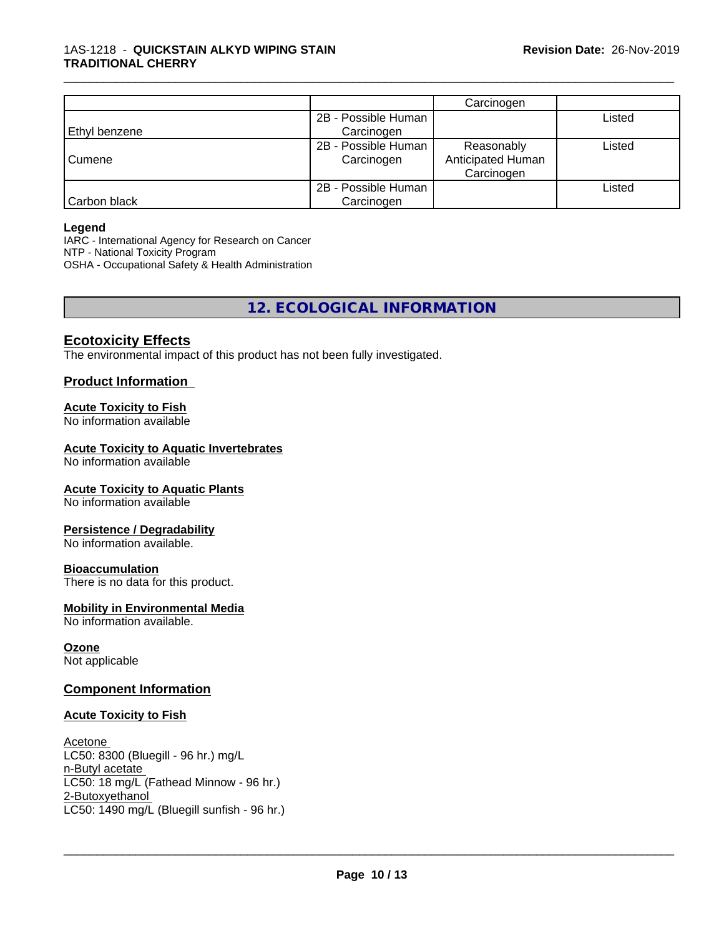|               |                     | Carcinogen        |        |
|---------------|---------------------|-------------------|--------|
|               | 2B - Possible Human |                   | Listed |
| Ethyl benzene | Carcinogen          |                   |        |
|               | 2B - Possible Human | Reasonably        | Listed |
| Cumene        | Carcinogen          | Anticipated Human |        |
|               |                     | Carcinogen        |        |
|               | 2B - Possible Human |                   | ∟isted |
| Carbon black  | Carcinogen          |                   |        |

\_\_\_\_\_\_\_\_\_\_\_\_\_\_\_\_\_\_\_\_\_\_\_\_\_\_\_\_\_\_\_\_\_\_\_\_\_\_\_\_\_\_\_\_\_\_\_\_\_\_\_\_\_\_\_\_\_\_\_\_\_\_\_\_\_\_\_\_\_\_\_\_\_\_\_\_\_\_\_\_\_\_\_\_\_\_\_\_\_\_\_\_\_

#### **Legend**

IARC - International Agency for Research on Cancer NTP - National Toxicity Program OSHA - Occupational Safety & Health Administration

**12. ECOLOGICAL INFORMATION**

# **Ecotoxicity Effects**

The environmental impact of this product has not been fully investigated.

# **Product Information**

## **Acute Toxicity to Fish**

No information available

#### **Acute Toxicity to Aquatic Invertebrates**

No information available

#### **Acute Toxicity to Aquatic Plants**

No information available

#### **Persistence / Degradability**

No information available.

#### **Bioaccumulation**

There is no data for this product.

#### **Mobility in Environmental Media**

No information available.

#### **Ozone**

Not applicable

#### **Component Information**

#### **Acute Toxicity to Fish**

Acetone LC50: 8300 (Bluegill - 96 hr.) mg/L n-Butyl acetate LC50: 18 mg/L (Fathead Minnow - 96 hr.) 2-Butoxyethanol \_\_\_\_\_\_\_\_\_\_\_\_\_\_\_\_\_\_\_\_\_\_\_\_\_\_\_\_\_\_\_\_\_\_\_\_\_\_\_\_\_\_\_\_\_\_\_\_\_\_\_\_\_\_\_\_\_\_\_\_\_\_\_\_\_\_\_\_\_\_\_\_\_\_\_\_\_\_\_\_\_\_\_\_\_\_\_\_\_\_\_\_\_ LC50: 1490 mg/L (Bluegill sunfish - 96 hr.)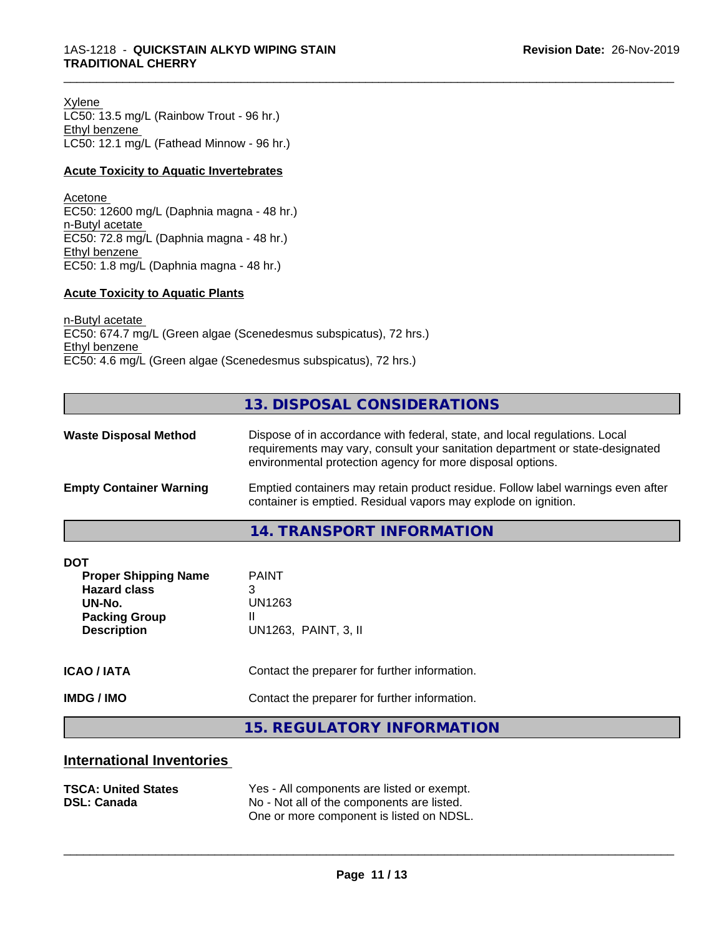Xylene LC50: 13.5 mg/L (Rainbow Trout - 96 hr.) Ethyl benzene LC50: 12.1 mg/L (Fathead Minnow - 96 hr.)

#### **Acute Toxicity to Aquatic Invertebrates**

Acetone EC50: 12600 mg/L (Daphnia magna - 48 hr.) n-Butyl acetate EC50: 72.8 mg/L (Daphnia magna - 48 hr.) Ethyl benzene EC50: 1.8 mg/L (Daphnia magna - 48 hr.)

#### **Acute Toxicity to Aquatic Plants**

n-Butyl acetate EC50: 674.7 mg/L (Green algae (Scenedesmus subspicatus), 72 hrs.) Ethyl benzene EC50: 4.6 mg/L (Green algae (Scenedesmus subspicatus), 72 hrs.)

# **13. DISPOSAL CONSIDERATIONS**

\_\_\_\_\_\_\_\_\_\_\_\_\_\_\_\_\_\_\_\_\_\_\_\_\_\_\_\_\_\_\_\_\_\_\_\_\_\_\_\_\_\_\_\_\_\_\_\_\_\_\_\_\_\_\_\_\_\_\_\_\_\_\_\_\_\_\_\_\_\_\_\_\_\_\_\_\_\_\_\_\_\_\_\_\_\_\_\_\_\_\_\_\_

| <b>Waste Disposal Method</b>   | Dispose of in accordance with federal, state, and local regulations. Local<br>requirements may vary, consult your sanitation department or state-designated<br>environmental protection agency for more disposal options. |  |
|--------------------------------|---------------------------------------------------------------------------------------------------------------------------------------------------------------------------------------------------------------------------|--|
| <b>Empty Container Warning</b> | Emptied containers may retain product residue. Follow label warnings even after<br>container is emptied. Residual vapors may explode on ignition.                                                                         |  |
|                                | 11 TO ANCOODT INITODIAATIONI                                                                                                                                                                                              |  |

**14. TRANSPORT INFORMATION**

| <b>DOT</b><br><b>Proper Shipping Name</b><br><b>Hazard class</b><br>UN-No.<br><b>Packing Group</b><br><b>Description</b> | <b>PAINT</b><br>3<br>UN1263<br>UN1263, PAINT, 3, II |
|--------------------------------------------------------------------------------------------------------------------------|-----------------------------------------------------|
| <b>ICAO/IATA</b>                                                                                                         | Contact the preparer for further information.       |
| <b>IMDG / IMO</b>                                                                                                        | Contact the preparer for further information.       |
|                                                                                                                          | 15 DECHLATODY INFODIAATION                          |

**15. REGULATORY INFORMATION**

# **International Inventories**

| <b>TSCA: United States</b> | Yes - All components are listed or exempt. |
|----------------------------|--------------------------------------------|
| <b>DSL: Canada</b>         | No - Not all of the components are listed. |
|                            | One or more component is listed on NDSL.   |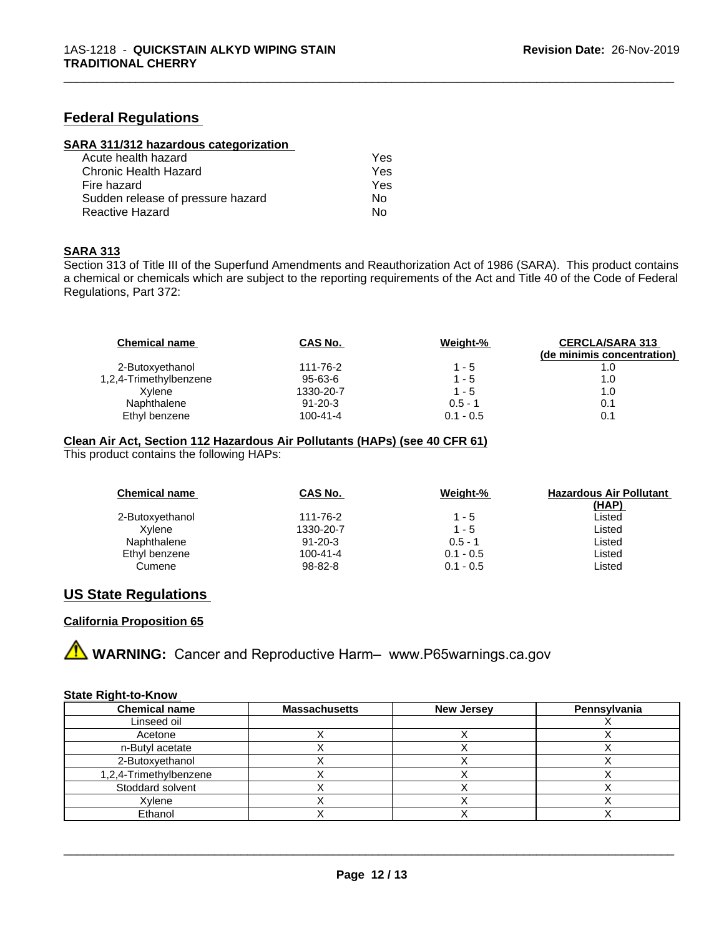# **Federal Regulations**

| SARA 311/312 hazardous categorization |  |
|---------------------------------------|--|
|                                       |  |

| Acute health hazard               | Yes |
|-----------------------------------|-----|
| Chronic Health Hazard             | Yes |
| Fire hazard                       | Yes |
| Sudden release of pressure hazard | Nο  |
| Reactive Hazard                   | N٥  |

#### **SARA 313**

Section 313 of Title III of the Superfund Amendments and Reauthorization Act of 1986 (SARA). This product contains a chemical or chemicals which are subject to the reporting requirements of the Act and Title 40 of the Code of Federal Regulations, Part 372:

\_\_\_\_\_\_\_\_\_\_\_\_\_\_\_\_\_\_\_\_\_\_\_\_\_\_\_\_\_\_\_\_\_\_\_\_\_\_\_\_\_\_\_\_\_\_\_\_\_\_\_\_\_\_\_\_\_\_\_\_\_\_\_\_\_\_\_\_\_\_\_\_\_\_\_\_\_\_\_\_\_\_\_\_\_\_\_\_\_\_\_\_\_

| CAS No.        | Weight-%    | <b>CERCLA/SARA 313</b><br>(de minimis concentration) |
|----------------|-------------|------------------------------------------------------|
| 111-76-2       | $1 - 5$     |                                                      |
| 95-63-6        | $1 - 5$     | 1.0                                                  |
| 1330-20-7      | $1 - 5$     | 1.0                                                  |
| $91 - 20 - 3$  | $0.5 - 1$   | 0.1                                                  |
| $100 - 41 - 4$ | $0.1 - 0.5$ | 0.1                                                  |
|                |             |                                                      |

#### **Clean Air Act,Section 112 Hazardous Air Pollutants (HAPs) (see 40 CFR 61)**

This product contains the following HAPs:

| <b>Chemical name</b> | CAS No.       | Weight-%    | <b>Hazardous Air Pollutant</b><br>(HAP) |
|----------------------|---------------|-------------|-----------------------------------------|
| 2-Butoxyethanol      | 111-76-2      | $1 - 5$     | Listed                                  |
| Xvlene               | 1330-20-7     | $1 - 5$     | Listed                                  |
| Naphthalene          | $91 - 20 - 3$ | $0.5 - 1$   | Listed                                  |
| Ethyl benzene        | 100-41-4      | $0.1 - 0.5$ | Listed                                  |
| Cumene               | $98 - 82 - 8$ | $0.1 - 0.5$ | Listed                                  |

# **US State Regulations**

# **California Proposition 65**



#### **State Right-to-Know**

| <b>Chemical name</b>   | <b>Massachusetts</b> | <b>New Jersey</b> | Pennsylvania |
|------------------------|----------------------|-------------------|--------------|
| Linseed oil            |                      |                   |              |
| Acetone                |                      |                   |              |
| n-Butyl acetate        |                      |                   |              |
| 2-Butoxyethanol        |                      |                   |              |
| 1,2,4-Trimethylbenzene |                      |                   |              |
| Stoddard solvent       |                      |                   |              |
| Xvlene                 |                      |                   |              |
| Ethanol                |                      |                   |              |